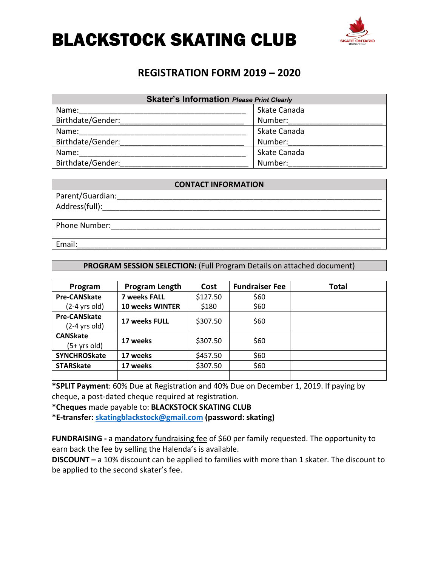

### **REGISTRATION FORM 2019 – 2020**

| <b>Skater's Information Please Print Clearly</b> |              |  |  |
|--------------------------------------------------|--------------|--|--|
| Name:                                            | Skate Canada |  |  |
| Birthdate/Gender:                                | Number:      |  |  |
| Name:                                            | Skate Canada |  |  |
| Birthdate/Gender:                                | Number:      |  |  |
| Name:                                            | Skate Canada |  |  |
| Birthdate/Gender:                                | Number:      |  |  |

| <b>CONTACT INFORMATION</b> |  |  |
|----------------------------|--|--|
| Parent/Guardian:           |  |  |
| Address(full):             |  |  |
| Phone Number:              |  |  |
| Email:                     |  |  |

#### **PROGRAM SESSION SELECTION:** (Full Program Details on attached document)

| Program             | <b>Program Length</b>  | Cost     | <b>Fundraiser Fee</b> | Total |
|---------------------|------------------------|----------|-----------------------|-------|
| <b>Pre-CANSkate</b> | <b>7 weeks FALL</b>    | \$127.50 | \$60                  |       |
| $(2-4$ yrs old)     | <b>10 weeks WINTER</b> | \$180    | \$60                  |       |
| <b>Pre-CANSkate</b> | <b>17 weeks FULL</b>   | \$307.50 | \$60                  |       |
| $(2-4$ yrs old)     |                        |          |                       |       |
| <b>CANSkate</b>     | 17 weeks               | \$307.50 | \$60                  |       |
| (5+ yrs old)        |                        |          |                       |       |
| <b>SYNCHROSkate</b> | 17 weeks               | \$457.50 | \$60                  |       |
| <b>STARSkate</b>    | 17 weeks               | \$307.50 | \$60                  |       |
|                     |                        |          |                       |       |

**\*SPLIT Payment**: 60% Due at Registration and 40% Due on December 1, 2019. If paying by cheque, a post-dated cheque required at registration.

**\*Cheques** made payable to: **BLACKSTOCK SKATING CLUB**

**\*E-transfer: skatingblackstock@gmail.com (password: skating)**

**FUNDRAISING -** a mandatory fundraising fee of \$60 per family requested. The opportunity to earn back the fee by selling the Halenda's is available.

**DISCOUNT –** a 10% discount can be applied to families with more than 1 skater. The discount to be applied to the second skater's fee.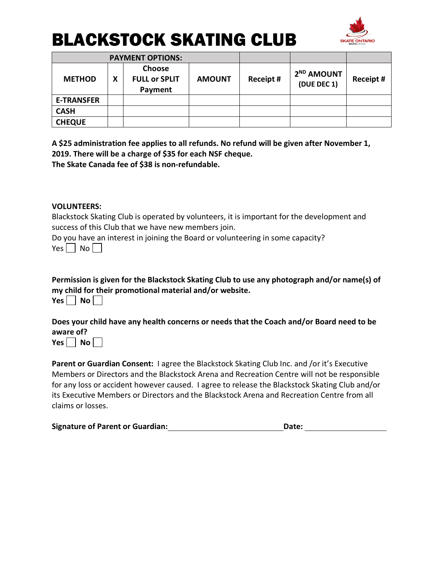

|                   |   | <b>PAYMENT OPTIONS:</b>                   |               |           |                                       |           |
|-------------------|---|-------------------------------------------|---------------|-----------|---------------------------------------|-----------|
| <b>METHOD</b>     | Χ | Choose<br><b>FULL or SPLIT</b><br>Payment | <b>AMOUNT</b> | Receipt # | 2 <sup>ND</sup> AMOUNT<br>(DUE DEC 1) | Receipt # |
| <b>E-TRANSFER</b> |   |                                           |               |           |                                       |           |
| <b>CASH</b>       |   |                                           |               |           |                                       |           |
| <b>CHEQUE</b>     |   |                                           |               |           |                                       |           |

**A \$25 administration fee applies to all refunds. No refund will be given after November 1, 2019. There will be a charge of \$35 for each NSF cheque. The Skate Canada fee of \$38 is non-refundable.**

#### **VOLUNTEERS:**

Blackstock Skating Club is operated by volunteers, it is important for the development and success of this Club that we have new members join.

Do you have an interest in joining the Board or volunteering in some capacity?  $Yes \mid No \mid$ 

**Permission is given for the Blackstock Skating Club to use any photograph and/or name(s) of my child for their promotional material and/or website.**  $Yes \Box No \Box$ 

**Does your child have any health concerns or needs that the Coach and/or Board need to be aware of?**

 $Yes \Box No \Box$ 

**Parent or Guardian Consent:** I agree the Blackstock Skating Club Inc. and /or it's Executive Members or Directors and the Blackstock Arena and Recreation Centre will not be responsible for any loss or accident however caused. I agree to release the Blackstock Skating Club and/or its Executive Members or Directors and the Blackstock Arena and Recreation Centre from all claims or losses.

|  | <b>Signature of Parent or Guardian:</b> | Date: |  |
|--|-----------------------------------------|-------|--|
|--|-----------------------------------------|-------|--|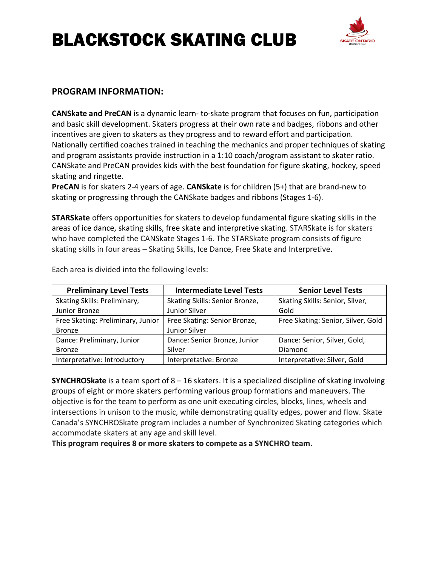

#### **PROGRAM INFORMATION:**

**CANSkate and PreCAN** is a dynamic learn- to-skate program that focuses on fun, participation and basic skill development. Skaters progress at their own rate and badges, ribbons and other incentives are given to skaters as they progress and to reward effort and participation. Nationally certified coaches trained in teaching the mechanics and proper techniques of skating and program assistants provide instruction in a 1:10 coach/program assistant to skater ratio. CANSkate and PreCAN provides kids with the best foundation for figure skating, hockey, speed skating and ringette.

**PreCAN** is for skaters 2-4 years of age. **CANSkate** is for children (5+) that are brand-new to skating or progressing through the CANSkate badges and ribbons (Stages 1-6).

**STARSkate** offers opportunities for skaters to develop fundamental figure skating skills in the areas of ice dance, skating skills, free skate and interpretive skating. STARSkate is for skaters who have completed the CANSkate Stages 1-6. The STARSkate program consists of figure skating skills in four areas – Skating Skills, Ice Dance, Free Skate and Interpretive.

| <b>Preliminary Level Tests</b>    | <b>Intermediate Level Tests</b> | <b>Senior Level Tests</b>          |
|-----------------------------------|---------------------------------|------------------------------------|
| Skating Skills: Preliminary,      | Skating Skills: Senior Bronze,  | Skating Skills: Senior, Silver,    |
| Junior Bronze                     | Junior Silver                   | Gold                               |
| Free Skating: Preliminary, Junior | Free Skating: Senior Bronze,    | Free Skating: Senior, Silver, Gold |
| <b>Bronze</b>                     | Junior Silver                   |                                    |
| Dance: Preliminary, Junior        | Dance: Senior Bronze, Junior    | Dance: Senior, Silver, Gold,       |
| <b>Bronze</b>                     | Silver                          | Diamond                            |
| Interpretative: Introductory      | Interpretative: Bronze          | Interpretative: Silver, Gold       |

Each area is divided into the following levels:

**SYNCHROSkate** is a team sport of 8 – 16 skaters. It is a specialized discipline of skating involving groups of eight or more skaters performing various group formations and maneuvers. The objective is for the team to perform as one unit executing circles, blocks, lines, wheels and intersections in unison to the music, while demonstrating quality edges, power and flow. Skate Canada's SYNCHROSkate program includes a number of Synchronized Skating categories which accommodate skaters at any age and skill level.

**This program requires 8 or more skaters to compete as a SYNCHRO team.**